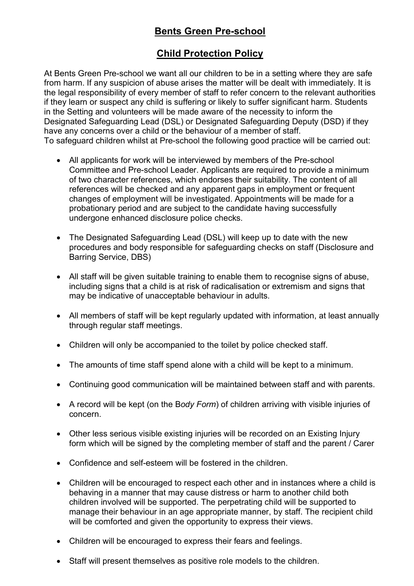# **Child Protection Policy**

At Bents Green Pre-school we want all our children to be in a setting where they are safe from harm. If any suspicion of abuse arises the matter will be dealt with immediately. It is the legal responsibility of every member of staff to refer concern to the relevant authorities if they learn or suspect any child is suffering or likely to suffer significant harm. Students in the Setting and volunteers will be made aware of the necessity to inform the Designated Safeguarding Lead (DSL) or Designated Safeguarding Deputy (DSD) if they have any concerns over a child or the behaviour of a member of staff. To safeguard children whilst at Pre-school the following good practice will be carried out:

- All applicants for work will be interviewed by members of the Pre-school Committee and Pre-school Leader. Applicants are required to provide a minimum of two character references, which endorses their suitability. The content of all references will be checked and any apparent gaps in employment or frequent changes of employment will be investigated. Appointments will be made for a probationary period and are subject to the candidate having successfully undergone enhanced disclosure police checks.
- The Designated Safeguarding Lead (DSL) will keep up to date with the new procedures and body responsible for safeguarding checks on staff (Disclosure and Barring Service, DBS)
- All staff will be given suitable training to enable them to recognise signs of abuse, including signs that a child is at risk of radicalisation or extremism and signs that may be indicative of unacceptable behaviour in adults.
- All members of staff will be kept regularly updated with information, at least annually through regular staff meetings.
- Children will only be accompanied to the toilet by police checked staff.
- The amounts of time staff spend alone with a child will be kept to a minimum.
- Continuing good communication will be maintained between staff and with parents.
- A record will be kept (on the B*ody Form*) of children arriving with visible injuries of concern.
- Other less serious visible existing injuries will be recorded on an Existing Injury form which will be signed by the completing member of staff and the parent / Carer
- Confidence and self-esteem will be fostered in the children.
- Children will be encouraged to respect each other and in instances where a child is behaving in a manner that may cause distress or harm to another child both children involved will be supported. The perpetrating child will be supported to manage their behaviour in an age appropriate manner, by staff. The recipient child will be comforted and given the opportunity to express their views.
- Children will be encouraged to express their fears and feelings.
- Staff will present themselves as positive role models to the children.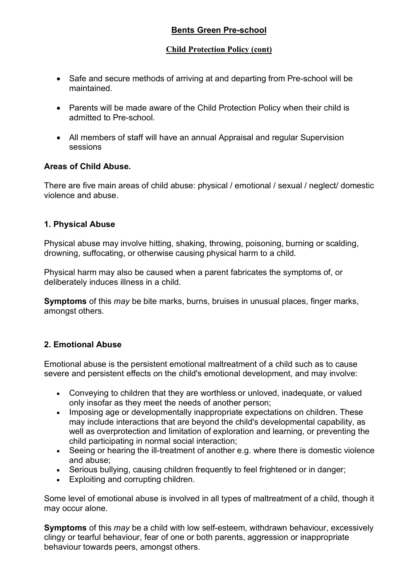#### **Child Protection Policy (cont)**

- Safe and secure methods of arriving at and departing from Pre-school will be maintained.
- Parents will be made aware of the Child Protection Policy when their child is admitted to Pre-school.
- All members of staff will have an annual Appraisal and regular Supervision sessions

### **Areas of Child Abuse.**

There are five main areas of child abuse: physical / emotional / sexual / neglect/ domestic violence and abuse.

### **1. Physical Abuse**

Physical abuse may involve hitting, shaking, throwing, poisoning, burning or scalding, drowning, suffocating, or otherwise causing physical harm to a child.

Physical harm may also be caused when a parent fabricates the symptoms of, or deliberately induces illness in a child.

**Symptoms** of this *may* be bite marks, burns, bruises in unusual places, finger marks, amongst others.

### **2. Emotional Abuse**

Emotional abuse is the persistent emotional maltreatment of a child such as to cause severe and persistent effects on the child's emotional development, and may involve:

- Conveying to children that they are worthless or unloved, inadequate, or valued only insofar as they meet the needs of another person;
- Imposing age or developmentally inappropriate expectations on children. These may include interactions that are beyond the child's developmental capability, as well as overprotection and limitation of exploration and learning, or preventing the child participating in normal social interaction;
- Seeing or hearing the ill-treatment of another e.g. where there is domestic violence and abuse;
- Serious bullying, causing children frequently to feel frightened or in danger;
- Exploiting and corrupting children.

Some level of emotional abuse is involved in all types of maltreatment of a child, though it may occur alone.

**Symptoms** of this *may* be a child with low self-esteem, withdrawn behaviour, excessively clingy or tearful behaviour, fear of one or both parents, aggression or inappropriate behaviour towards peers, amongst others.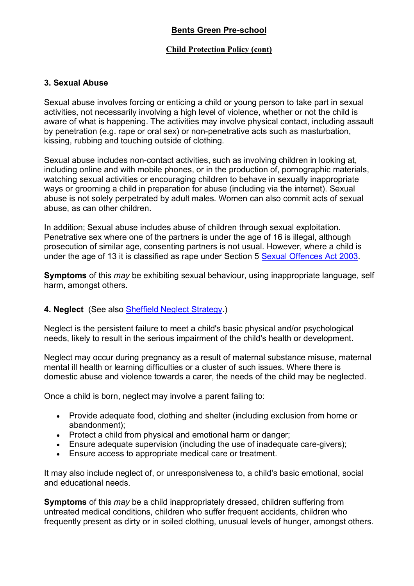#### **Child Protection Policy (cont)**

#### **3. Sexual Abuse**

Sexual abuse involves forcing or enticing a child or young person to take part in sexual activities, not necessarily involving a high level of violence, whether or not the child is aware of what is happening. The activities may involve physical contact, including assault by penetration (e.g. rape or oral sex) or non-penetrative acts such as masturbation, kissing, rubbing and touching outside of clothing.

Sexual abuse includes non-contact activities, such as involving children in looking at, including online and with mobile phones, or in the production of, pornographic materials, watching sexual activities or encouraging children to behave in sexually inappropriate ways or grooming a child in preparation for abuse (including via the internet). Sexual abuse is not solely perpetrated by adult males. Women can also commit acts of sexual abuse, as can other children.

In addition; Sexual abuse includes abuse of children through sexual exploitation. Penetrative sex where one of the partners is under the age of 16 is illegal, although prosecution of similar age, consenting partners is not usual. However, where a child is under the age of 13 it is classified as rape under Section 5 Sexual Offences Act 2003.

**Symptoms** of this *may* be exhibiting sexual behaviour, using inappropriate language, self harm, amongst others.

### **4. Neglect** (See also Sheffield Neglect Strategy.)

Neglect is the persistent failure to meet a child's basic physical and/or psychological needs, likely to result in the serious impairment of the child's health or development.

Neglect may occur during pregnancy as a result of maternal substance misuse, maternal mental ill health or learning difficulties or a cluster of such issues. Where there is domestic abuse and violence towards a carer, the needs of the child may be neglected.

Once a child is born, neglect may involve a parent failing to:

- Provide adequate food, clothing and shelter (including exclusion from home or abandonment);
- Protect a child from physical and emotional harm or danger;
- Ensure adequate supervision (including the use of inadequate care-givers);
- Ensure access to appropriate medical care or treatment.

It may also include neglect of, or unresponsiveness to, a child's basic emotional, social and educational needs.

**Symptoms** of this *may* be a child inappropriately dressed, children suffering from untreated medical conditions, children who suffer frequent accidents, children who frequently present as dirty or in soiled clothing, unusual levels of hunger, amongst others.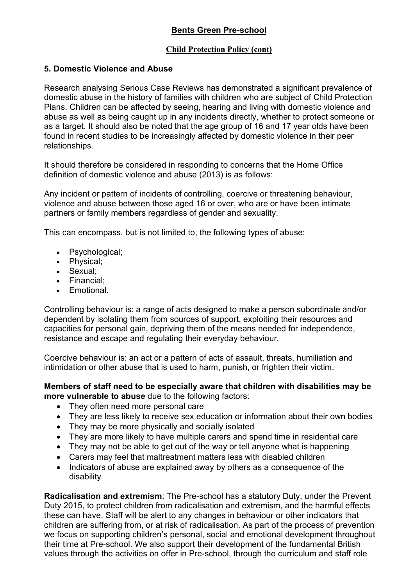#### **Child Protection Policy (cont)**

### **5. Domestic Violence and Abuse**

Research analysing Serious Case Reviews has demonstrated a significant prevalence of domestic abuse in the history of families with children who are subject of Child Protection Plans. Children can be affected by seeing, hearing and living with domestic violence and abuse as well as being caught up in any incidents directly, whether to protect someone or as a target. It should also be noted that the age group of 16 and 17 year olds have been found in recent studies to be increasingly affected by domestic violence in their peer relationships.

It should therefore be considered in responding to concerns that the Home Office definition of domestic violence and abuse (2013) is as follows:

Any incident or pattern of incidents of controlling, coercive or threatening behaviour, violence and abuse between those aged 16 or over, who are or have been intimate partners or family members regardless of gender and sexuality.

This can encompass, but is not limited to, the following types of abuse:

- Psychological;
- Physical;
- Sexual;
- Financial;
- Emotional.

Controlling behaviour is: a range of acts designed to make a person subordinate and/or dependent by isolating them from sources of support, exploiting their resources and capacities for personal gain, depriving them of the means needed for independence, resistance and escape and regulating their everyday behaviour.

Coercive behaviour is: an act or a pattern of acts of assault, threats, humiliation and intimidation or other abuse that is used to harm, punish, or frighten their victim.

**Members of staff need to be especially aware that children with disabilities may be more vulnerable to abuse** due to the following factors:

- They often need more personal care
- They are less likely to receive sex education or information about their own bodies
- They may be more physically and socially isolated
- They are more likely to have multiple carers and spend time in residential care
- They may not be able to get out of the way or tell anyone what is happening
- Carers may feel that maltreatment matters less with disabled children
- Indicators of abuse are explained away by others as a consequence of the disability

**Radicalisation and extremism**: The Pre-school has a statutory Duty, under the Prevent Duty 2015, to protect children from radicalisation and extremism, and the harmful effects these can have. Staff will be alert to any changes in behaviour or other indicators that children are suffering from, or at risk of radicalisation. As part of the process of prevention we focus on supporting children's personal, social and emotional development throughout their time at Pre-school. We also support their development of the fundamental British values through the activities on offer in Pre-school, through the curriculum and staff role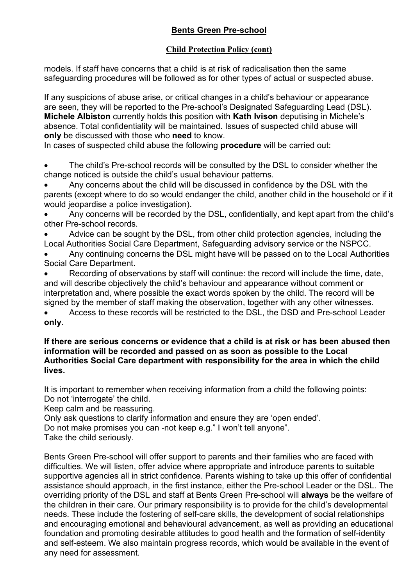### **Child Protection Policy (cont)**

models. If staff have concerns that a child is at risk of radicalisation then the same safeguarding procedures will be followed as for other types of actual or suspected abuse.

If any suspicions of abuse arise, or critical changes in a child's behaviour or appearance are seen, they will be reported to the Pre-school's Designated Safeguarding Lead (DSL). **Michele Albiston** currently holds this position with **Kath Ivison** deputising in Michele's absence. Total confidentiality will be maintained. Issues of suspected child abuse will **only** be discussed with those who **need** to know.

In cases of suspected child abuse the following **procedure** will be carried out:

The child's Pre-school records will be consulted by the DSL to consider whether the change noticed is outside the child's usual behaviour patterns.

• Any concerns about the child will be discussed in confidence by the DSL with the parents (except where to do so would endanger the child, another child in the household or if it would jeopardise a police investigation).

• Any concerns will be recorded by the DSL, confidentially, and kept apart from the child's other Pre-school records.

• Advice can be sought by the DSL, from other child protection agencies, including the Local Authorities Social Care Department, Safeguarding advisory service or the NSPCC.

• Any continuing concerns the DSL might have will be passed on to the Local Authorities Social Care Department.

• Recording of observations by staff will continue: the record will include the time, date, and will describe objectively the child's behaviour and appearance without comment or interpretation and, where possible the exact words spoken by the child. The record will be signed by the member of staff making the observation, together with any other witnesses.

• Access to these records will be restricted to the DSL, the DSD and Pre-school Leader **only**.

#### **If there are serious concerns or evidence that a child is at risk or has been abused then information will be recorded and passed on as soon as possible to the Local Authorities Social Care department with responsibility for the area in which the child lives.**

It is important to remember when receiving information from a child the following points: Do not 'interrogate' the child.

Keep calm and be reassuring.

Only ask questions to clarify information and ensure they are 'open ended'.

Do not make promises you can -not keep e.g." I won't tell anyone".

Take the child seriously.

Bents Green Pre-school will offer support to parents and their families who are faced with difficulties. We will listen, offer advice where appropriate and introduce parents to suitable supportive agencies all in strict confidence. Parents wishing to take up this offer of confidential assistance should approach, in the first instance, either the Pre-school Leader or the DSL. The overriding priority of the DSL and staff at Bents Green Pre-school will **always** be the welfare of the children in their care. Our primary responsibility is to provide for the child's developmental needs. These include the fostering of self-care skills, the development of social relationships and encouraging emotional and behavioural advancement, as well as providing an educational foundation and promoting desirable attitudes to good health and the formation of self-identity and self-esteem. We also maintain progress records, which would be available in the event of any need for assessment.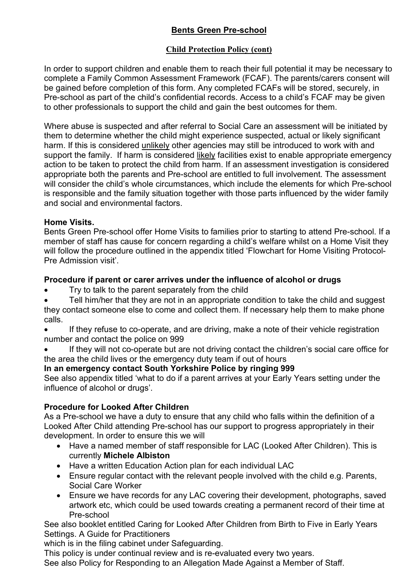### **Child Protection Policy (cont)**

In order to support children and enable them to reach their full potential it may be necessary to complete a Family Common Assessment Framework (FCAF). The parents/carers consent will be gained before completion of this form. Any completed FCAFs will be stored, securely, in Pre-school as part of the child's confidential records. Access to a child's FCAF may be given to other professionals to support the child and gain the best outcomes for them.

Where abuse is suspected and after referral to Social Care an assessment will be initiated by them to determine whether the child might experience suspected, actual or likely significant harm. If this is considered unlikely other agencies may still be introduced to work with and support the family. If harm is considered likely facilities exist to enable appropriate emergency action to be taken to protect the child from harm. If an assessment investigation is considered appropriate both the parents and Pre-school are entitled to full involvement. The assessment will consider the child's whole circumstances, which include the elements for which Pre-school is responsible and the family situation together with those parts influenced by the wider family and social and environmental factors.

### **Home Visits.**

Bents Green Pre-school offer Home Visits to families prior to starting to attend Pre-school. If a member of staff has cause for concern regarding a child's welfare whilst on a Home Visit they will follow the procedure outlined in the appendix titled 'Flowchart for Home Visiting Protocol-Pre Admission visit'.

### **Procedure if parent or carer arrives under the influence of alcohol or drugs**

- Try to talk to the parent separately from the child
- Tell him/her that they are not in an appropriate condition to take the child and suggest they contact someone else to come and collect them. If necessary help them to make phone calls.
- If they refuse to co-operate, and are driving, make a note of their vehicle registration number and contact the police on 999
- If they will not co-operate but are not driving contact the children's social care office for the area the child lives or the emergency duty team if out of hours

### **In an emergency contact South Yorkshire Police by ringing 999**

See also appendix titled 'what to do if a parent arrives at your Early Years setting under the influence of alcohol or drugs'.

### **Procedure for Looked After Children**

As a Pre-school we have a duty to ensure that any child who falls within the definition of a Looked After Child attending Pre-school has our support to progress appropriately in their development. In order to ensure this we will

- Have a named member of staff responsible for LAC (Looked After Children). This is currently **Michele Albiston**
- Have a written Education Action plan for each individual LAC
- Ensure regular contact with the relevant people involved with the child e.g. Parents, Social Care Worker
- Ensure we have records for any LAC covering their development, photographs, saved artwork etc, which could be used towards creating a permanent record of their time at Pre-school

See also booklet entitled Caring for Looked After Children from Birth to Five in Early Years Settings. A Guide for Practitioners

which is in the filing cabinet under Safeguarding.

This policy is under continual review and is re-evaluated every two years.

See also Policy for Responding to an Allegation Made Against a Member of Staff.